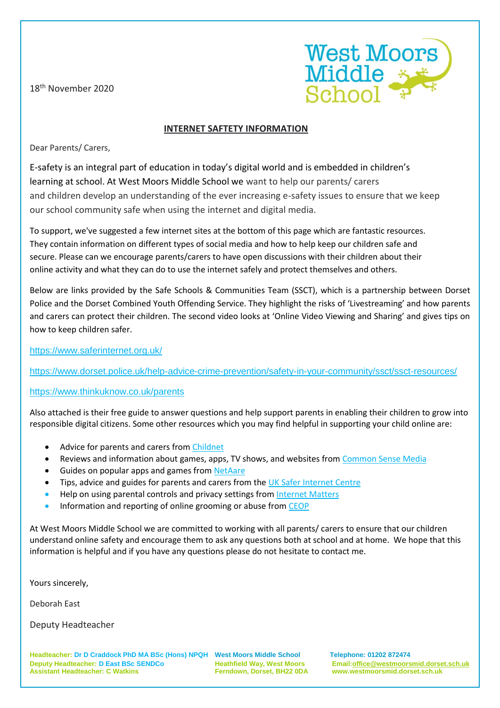18th November 2020



## **INTERNET SAFTETY INFORMATION**

Dear Parents/ Carers,

E-safety is an integral part of education in today's digital world and is embedded in children's learning at school. At West Moors Middle School we want to help our parents/ carers and children develop an understanding of the ever increasing e-safety issues to ensure that we keep our school community safe when using the internet and digital media.

To support, we've suggested a few internet sites at the bottom of this page which are fantastic resources. They contain information on different types of social media and how to help keep our children safe and secure. Please can we encourage parents/carers to have open discussions with their children about their online activity and what they can do to use the internet safely and protect themselves and others.

Below are links provided by the Safe Schools & Communities Team (SSCT), which is a partnership between Dorset Police and the Dorset Combined Youth Offending Service. They highlight the risks of 'Livestreaming' and how parents and carers can protect their children. The second video looks at 'Online Video Viewing and Sharing' and gives tips on how to keep children safer.

## <https://www.saferinternet.org.uk/>

<https://www.dorset.police.uk/help-advice-crime-prevention/safety-in-your-community/ssct/ssct-resources/>

## <https://www.thinkuknow.co.uk/parents>

Also attached is their free guide to answer questions and help support parents in enabling their children to grow into responsible digital citizens. Some other resources which you may find helpful in supporting your child online are:

- Advice for parents and carers from [Childnet](https://www.childnet.com/parents-and-carers)
- Reviews and information about games, apps, TV shows, and websites fro[m Common](https://www.commonsensemedia.org/) Sense Media
- Guides on popular apps and games fro[m NetAare](https://www.net-aware.org.uk/)
- Tips, advice and guides for parents and carers from the UK Safer [Internet](https://www.saferinternet.org.uk/advice-centre/parents-and-carers) Centre
- Help on using parental controls and privacy settings from [Internet](https://www.internetmatters.org/parental-controls/) Matters
- Information and reporting of online grooming or abuse from [CEOP](https://www.ceop.police.uk/safety-centre/)

At West Moors Middle School we are committed to working with all parents/ carers to ensure that our children understand online safety and encourage them to ask any questions both at school and at home. We hope that this information is helpful and if you have any questions please do not hesitate to contact me.

Yours sincerely,

Deborah East

Deputy Headteacher

**Headteacher: Dr D Craddock PhD MA BSc (Hons) NPQH West Moors Middle School Telephone: 01202 872474 Deputy Headteacher: D East BSc SENDCo Heathfield Way, West Moors Email[:office@westmoorsmid.dorset.sch.uk](mailto:office@westmoorsmid.dorset.sch.uk) Assistant Headteacher: C Watkins Ferndown, Dorset, BH22 0DA www.westmoorsmid.dorset.sch.uk**